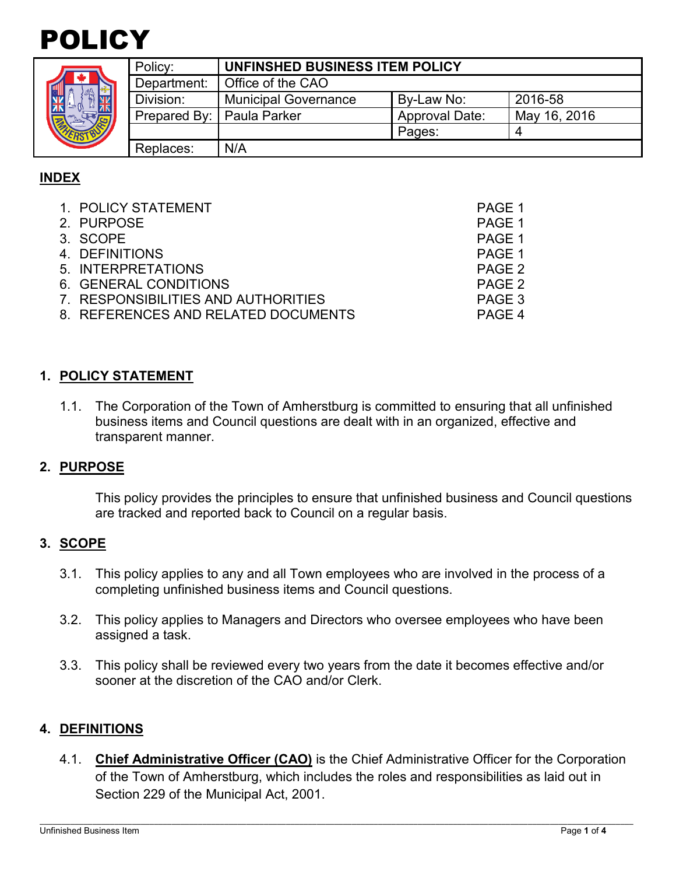

| z |  |
|---|--|
| ମ |  |

|  | Policy:                     | UNFINSHED BUSINESS ITEM POLICY |                       |              |  |
|--|-----------------------------|--------------------------------|-----------------------|--------------|--|
|  | Department:                 | Office of the CAO              |                       |              |  |
|  | Division:                   | <b>Municipal Governance</b>    | By-Law No:            | 2016-58      |  |
|  | Prepared By:   Paula Parker |                                | <b>Approval Date:</b> | May 16, 2016 |  |
|  |                             |                                | Pages:                |              |  |
|  | Replaces:                   | N/A                            |                       |              |  |

# **INDEX**

| 1. POLICY STATEMENT                 | PAGE 1 |
|-------------------------------------|--------|
| 2. PURPOSE                          | PAGE 1 |
| 3. SCOPE                            | PAGE 1 |
| 4. DEFINITIONS                      | PAGE 1 |
| 5. INTERPRETATIONS                  | PAGE 2 |
| 6. GENERAL CONDITIONS               | PAGE 2 |
| 7. RESPONSIBILITIES AND AUTHORITIES | PAGE 3 |
| 8. REFERENCES AND RELATED DOCUMENTS | PAGE 4 |

## **1. POLICY STATEMENT**

1.1. The Corporation of the Town of Amherstburg is committed to ensuring that all unfinished business items and Council questions are dealt with in an organized, effective and transparent manner.

#### **2. PURPOSE**

This policy provides the principles to ensure that unfinished business and Council questions are tracked and reported back to Council on a regular basis.

#### **3. SCOPE**

- 3.1. This policy applies to any and all Town employees who are involved in the process of a completing unfinished business items and Council questions.
- 3.2. This policy applies to Managers and Directors who oversee employees who have been assigned a task.
- 3.3. This policy shall be reviewed every two years from the date it becomes effective and/or sooner at the discretion of the CAO and/or Clerk.

#### **4. DEFINITIONS**

4.1. **Chief Administrative Officer (CAO)** is the Chief Administrative Officer for the Corporation of the Town of Amherstburg, which includes the roles and responsibilities as laid out in Section 229 of the Municipal Act, 2001.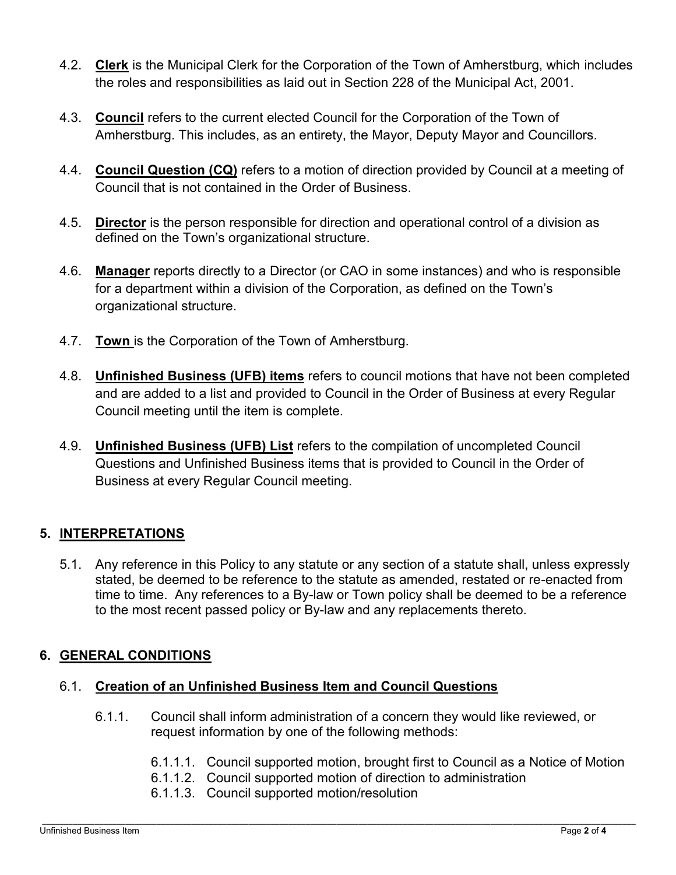- 4.2. **Clerk** is the Municipal Clerk for the Corporation of the Town of Amherstburg, which includes the roles and responsibilities as laid out in Section 228 of the Municipal Act, 2001.
- 4.3. **Council** refers to the current elected Council for the Corporation of the Town of Amherstburg. This includes, as an entirety, the Mayor, Deputy Mayor and Councillors.
- 4.4. **Council Question (CQ)** refers to a motion of direction provided by Council at a meeting of Council that is not contained in the Order of Business.
- 4.5. **Director** is the person responsible for direction and operational control of a division as defined on the Town's organizational structure.
- 4.6. **Manager** reports directly to a Director (or CAO in some instances) and who is responsible for a department within a division of the Corporation, as defined on the Town's organizational structure.
- 4.7. **Town** is the Corporation of the Town of Amherstburg.
- 4.8. **Unfinished Business (UFB) items** refers to council motions that have not been completed and are added to a list and provided to Council in the Order of Business at every Regular Council meeting until the item is complete.
- 4.9. **Unfinished Business (UFB) List** refers to the compilation of uncompleted Council Questions and Unfinished Business items that is provided to Council in the Order of Business at every Regular Council meeting.

## **5. INTERPRETATIONS**

5.1. Any reference in this Policy to any statute or any section of a statute shall, unless expressly stated, be deemed to be reference to the statute as amended, restated or re-enacted from time to time. Any references to a By-law or Town policy shall be deemed to be a reference to the most recent passed policy or By-law and any replacements thereto.

## **6. GENERAL CONDITIONS**

#### 6.1. **Creation of an Unfinished Business Item and Council Questions**

- 6.1.1. Council shall inform administration of a concern they would like reviewed, or request information by one of the following methods:
	- 6.1.1.1. Council supported motion, brought first to Council as a Notice of Motion
	- 6.1.1.2. Council supported motion of direction to administration
	- 6.1.1.3. Council supported motion/resolution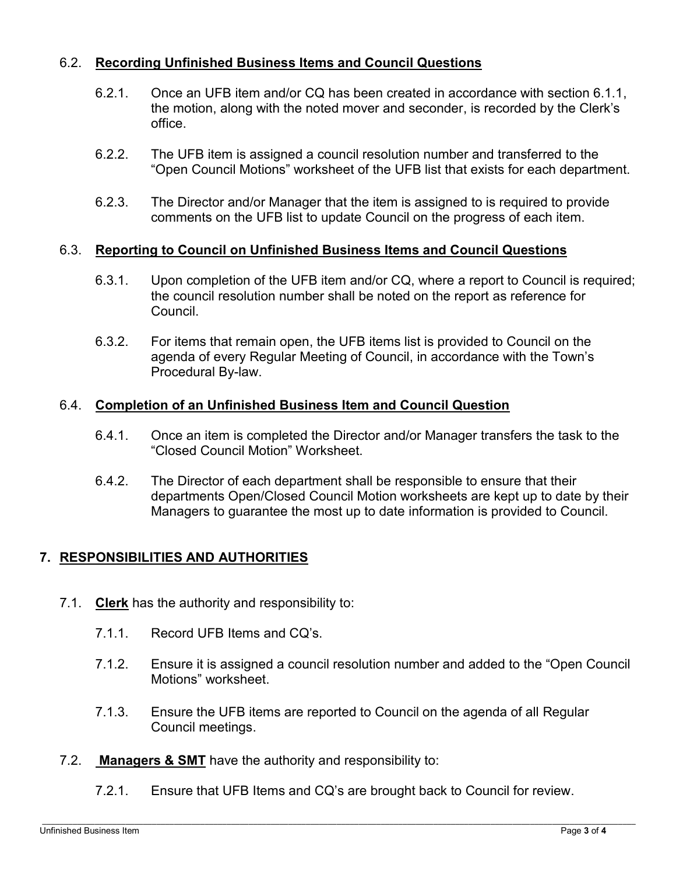## 6.2. **Recording Unfinished Business Items and Council Questions**

- 6.2.1. Once an UFB item and/or CQ has been created in accordance with section 6.1.1, the motion, along with the noted mover and seconder, is recorded by the Clerk's office.
- 6.2.2. The UFB item is assigned a council resolution number and transferred to the "Open Council Motions" worksheet of the UFB list that exists for each department.
- 6.2.3. The Director and/or Manager that the item is assigned to is required to provide comments on the UFB list to update Council on the progress of each item.

## 6.3. **Reporting to Council on Unfinished Business Items and Council Questions**

- 6.3.1. Upon completion of the UFB item and/or CQ, where a report to Council is required; the council resolution number shall be noted on the report as reference for Council.
- 6.3.2. For items that remain open, the UFB items list is provided to Council on the agenda of every Regular Meeting of Council, in accordance with the Town's Procedural By-law.

#### 6.4. **Completion of an Unfinished Business Item and Council Question**

- 6.4.1. Once an item is completed the Director and/or Manager transfers the task to the "Closed Council Motion" Worksheet.
- 6.4.2. The Director of each department shall be responsible to ensure that their departments Open/Closed Council Motion worksheets are kept up to date by their Managers to guarantee the most up to date information is provided to Council.

## **7. RESPONSIBILITIES AND AUTHORITIES**

- 7.1. **Clerk** has the authority and responsibility to:
	- 7.1.1. Record UFB Items and CQ's.
	- 7.1.2. Ensure it is assigned a council resolution number and added to the "Open Council Motions" worksheet.
	- 7.1.3. Ensure the UFB items are reported to Council on the agenda of all Regular Council meetings.
- 7.2. **Managers & SMT** have the authority and responsibility to:
	- 7.2.1. Ensure that UFB Items and CQ's are brought back to Council for review.